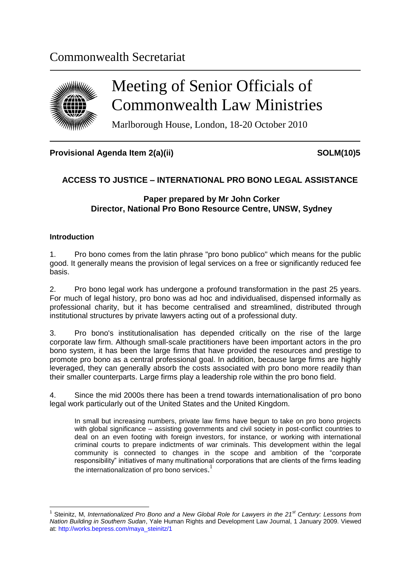## Commonwealth Secretariat



# Meeting of Senior Officials of Commonwealth Law Ministries

Marlborough House, London, 18-20 October 2010

#### Provisional Agenda Item 2(a)(ii) SOLM(10)5

### **ACCESS TO JUSTICE – INTERNATIONAL PRO BONO LEGAL ASSISTANCE**

#### **Paper prepared by Mr John Corker Director, National Pro Bono Resource Centre, UNSW, Sydney**

#### **Introduction**

1

1. Pro bono comes from the latin phrase "pro bono publico" which means for the public good. It generally means the provision of legal services on a free or significantly reduced fee basis.

2. Pro bono legal work has undergone a profound transformation in the past 25 years. For much of legal history, pro bono was ad hoc and individualised, dispensed informally as professional charity, but it has become centralised and streamlined, distributed through institutional structures by private lawyers acting out of a professional duty.

3. Pro bono's institutionalisation has depended critically on the rise of the large corporate law firm. Although small-scale practitioners have been important actors in the pro bono system, it has been the large firms that have provided the resources and prestige to promote pro bono as a central professional goal. In addition, because large firms are highly leveraged, they can generally absorb the costs associated with pro bono more readily than their smaller counterparts. Large firms play a leadership role within the pro bono field.

4. Since the mid 2000s there has been a trend towards internationalisation of pro bono legal work particularly out of the United States and the United Kingdom.

In small but increasing numbers, private law firms have begun to take on pro bono projects with global significance – assisting governments and civil society in post-conflict countries to deal on an even footing with foreign investors, for instance, or working with international criminal courts to prepare indictments of war criminals. This development within the legal community is connected to changes in the scope and ambition of the "corporate responsibility" initiatives of many multinational corporations that are clients of the firms leading the internationalization of pro bono services.<sup>1</sup>

<sup>&</sup>lt;sup>1</sup> Steinitz, M, *Internationalized Pro Bono and a New Global Role for Lawyers in the 21<sup>st</sup> Century: Lessons from Nation Building in Southern Sudan*, Yale Human Rights and Development Law Journal, 1 January 2009. Viewed at[: http://works.bepress.com/maya\\_steinitz/1](http://works.bepress.com/maya_steinitz/1)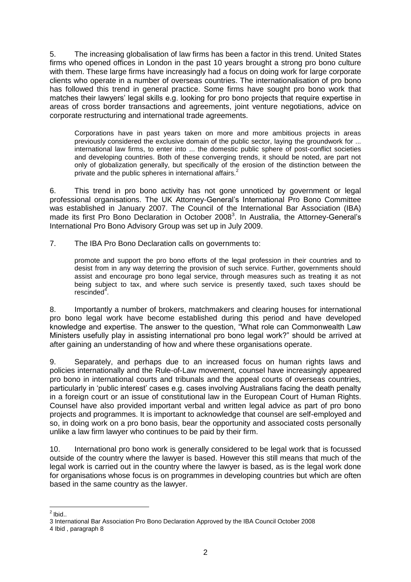5. The increasing globalisation of law firms has been a factor in this trend. United States firms who opened offices in London in the past 10 years brought a strong pro bono culture with them. These large firms have increasingly had a focus on doing work for large corporate clients who operate in a number of overseas countries. The internationalisation of pro bono has followed this trend in general practice. Some firms have sought pro bono work that matches their lawyers" legal skills e.g. looking for pro bono projects that require expertise in areas of cross border transactions and agreements, joint venture negotiations, advice on corporate restructuring and international trade agreements.

Corporations have in past years taken on more and more ambitious projects in areas previously considered the exclusive domain of the public sector, laying the groundwork for ... international law firms, to enter into ... the domestic public sphere of post-conflict societies and developing countries. Both of these converging trends, it should be noted, are part not only of globalization generally, but specifically of the erosion of the distinction between the private and the public spheres in international affairs.<sup>2</sup>

6. This trend in pro bono activity has not gone unnoticed by government or legal professional organisations. The UK Attorney-General"s International Pro Bono Committee was established in January 2007. The Council of the International Bar Association (IBA) made its first Pro Bono Declaration in October 2008<sup>3</sup>. In Australia, the Attorney-General's International Pro Bono Advisory Group was set up in July 2009.

7. The IBA Pro Bono Declaration calls on governments to:

promote and support the pro bono efforts of the legal profession in their countries and to desist from in any way deterring the provision of such service. Further, governments should assist and encourage pro bono legal service, through measures such as treating it as not being subject to tax, and where such service is presently taxed, such taxes should be rescinded<sup>4</sup>.

8. Importantly a number of brokers, matchmakers and clearing houses for international pro bono legal work have become established during this period and have developed knowledge and expertise. The answer to the question, "What role can Commonwealth Law Ministers usefully play in assisting international pro bono legal work?" should be arrived at after gaining an understanding of how and where these organisations operate.

9. Separately, and perhaps due to an increased focus on human rights laws and policies internationally and the Rule-of-Law movement, counsel have increasingly appeared pro bono in international courts and tribunals and the appeal courts of overseas countries, particularly in "public interest" cases e.g. cases involving Australians facing the death penalty in a foreign court or an issue of constitutional law in the European Court of Human Rights. Counsel have also provided important verbal and written legal advice as part of pro bono projects and programmes. It is important to acknowledge that counsel are self-employed and so, in doing work on a pro bono basis, bear the opportunity and associated costs personally unlike a law firm lawyer who continues to be paid by their firm.

10. International pro bono work is generally considered to be legal work that is focussed outside of the country where the lawyer is based. However this still means that much of the legal work is carried out in the country where the lawyer is based, as is the legal work done for organisations whose focus is on programmes in developing countries but which are often based in the same country as the lawyer.

<sup>&</sup>lt;u>\_\_\_\_\_\_\_</u><br><sup>2</sup> Ibid..

<sup>3</sup> International Bar Association Pro Bono Declaration Approved by the IBA Council October 2008

<sup>4</sup> Ibid , paragraph 8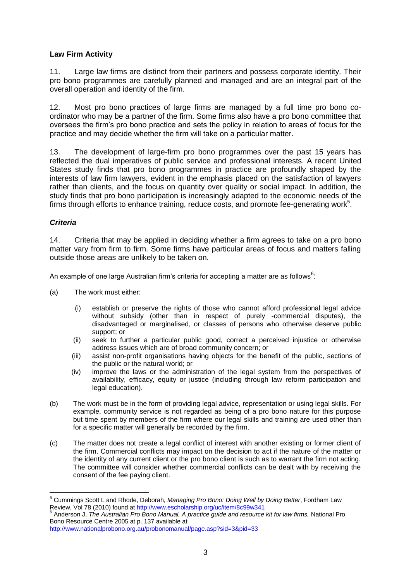#### **Law Firm Activity**

11. Large law firms are distinct from their partners and possess corporate identity. Their pro bono programmes are carefully planned and managed and are an integral part of the overall operation and identity of the firm.

12. Most pro bono practices of large firms are managed by a full time pro bono coordinator who may be a partner of the firm. Some firms also have a pro bono committee that oversees the firm"s pro bono practice and sets the policy in relation to areas of focus for the practice and may decide whether the firm will take on a particular matter.

13. The development of large-firm pro bono programmes over the past 15 years has reflected the dual imperatives of public service and professional interests. A recent United States study finds that pro bono programmes in practice are profoundly shaped by the interests of law firm lawyers, evident in the emphasis placed on the satisfaction of lawyers rather than clients, and the focus on quantity over quality or social impact. In addition, the study finds that pro bono participation is increasingly adapted to the economic needs of the firms through efforts to enhance training, reduce costs, and promote fee-generating work $5$ .

#### *Criteria*

1

14. Criteria that may be applied in deciding whether a firm agrees to take on a pro bono matter vary from firm to firm. Some firms have particular areas of focus and matters falling outside those areas are unlikely to be taken on.

An example of one large Australian firm's criteria for accepting a matter are as follows<sup>6</sup>:

- (a) The work must either:
	- (i) establish or preserve the rights of those who cannot afford professional legal advice without subsidy (other than in respect of purely -commercial disputes), the disadvantaged or marginalised, or classes of persons who otherwise deserve public support; or
	- (ii) seek to further a particular public good, correct a perceived injustice or otherwise address issues which are of broad community concern; or
	- (iii) assist non-profit organisations having objects for the benefit of the public, sections of the public or the natural world; or
	- (iv) improve the laws or the administration of the legal system from the perspectives of availability, efficacy, equity or justice (including through law reform participation and legal education).
- (b) The work must be in the form of providing legal advice, representation or using legal skills. For example, community service is not regarded as being of a pro bono nature for this purpose but time spent by members of the firm where our legal skills and training are used other than for a specific matter will generally be recorded by the firm.
- (c) The matter does not create a legal conflict of interest with another existing or former client of the firm. Commercial conflicts may impact on the decision to act if the nature of the matter or the identity of any current client or the pro bono client is such as to warrant the firm not acting. The committee will consider whether commercial conflicts can be dealt with by receiving the consent of the fee paying client.

6 Anderson J, *The Australian Pro Bono Manual, A practice guide and resource kit for law firms,* National Pro Bono Resource Centre 2005 at p. 137 available at

<http://www.nationalprobono.org.au/probonomanual/page.asp?sid=3&pid=33>

<sup>5</sup> Cummings Scott L and Rhode, Deborah, *Managing Pro Bono: Doing Well by Doing Better*, Fordham Law Review, Vol 78 (2010) found at<http://www.escholarship.org/uc/item/8c99w341>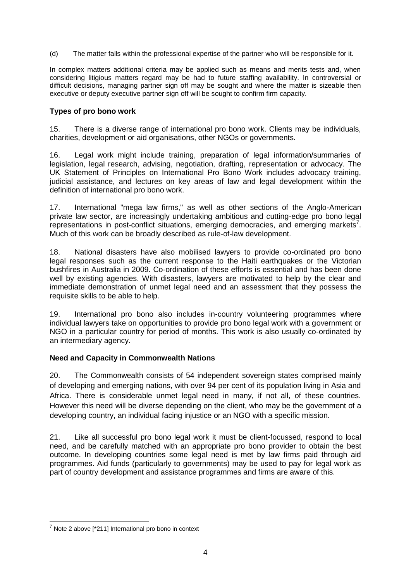(d) The matter falls within the professional expertise of the partner who will be responsible for it.

In complex matters additional criteria may be applied such as means and merits tests and, when considering litigious matters regard may be had to future staffing availability. In controversial or difficult decisions, managing partner sign off may be sought and where the matter is sizeable then executive or deputy executive partner sign off will be sought to confirm firm capacity.

#### **Types of pro bono work**

15. There is a diverse range of international pro bono work. Clients may be individuals, charities, development or aid organisations, other NGOs or governments.

16. Legal work might include training, preparation of legal information/summaries of legislation, legal research, advising, negotiation, drafting, representation or advocacy. The UK Statement of Principles on International Pro Bono Work includes advocacy training, judicial assistance, and lectures on key areas of law and legal development within the definition of international pro bono work.

17. International "mega law firms," as well as other sections of the Anglo-American private law sector, are increasingly undertaking ambitious and cutting-edge pro bono legal representations in post-conflict situations, emerging democracies, and emerging markets<sup>7</sup>. Much of this work can be broadly described as rule-of-law development.

18. National disasters have also mobilised lawyers to provide co-ordinated pro bono legal responses such as the current response to the Haiti earthquakes or the Victorian bushfires in Australia in 2009. Co-ordination of these efforts is essential and has been done well by existing agencies. With disasters, lawyers are motivated to help by the clear and immediate demonstration of unmet legal need and an assessment that they possess the requisite skills to be able to help.

19. International pro bono also includes in-country volunteering programmes where individual lawyers take on opportunities to provide pro bono legal work with a government or NGO in a particular country for period of months. This work is also usually co-ordinated by an intermediary agency.

#### **Need and Capacity in Commonwealth Nations**

20. The Commonwealth consists of 54 independent sovereign states comprised mainly of developing and emerging nations, with over 94 per cent of its population living in Asia and Africa. There is considerable unmet legal need in many, if not all, of these countries. However this need will be diverse depending on the client, who may be the government of a developing country, an individual facing injustice or an NGO with a specific mission.

21. Like all successful pro bono legal work it must be client-focussed, respond to local need, and be carefully matched with an appropriate pro bono provider to obtain the best outcome. In developing countries some legal need is met by law firms paid through aid programmes. Aid funds (particularly to governments) may be used to pay for legal work as part of country development and assistance programmes and firms are aware of this.

1

 $7$  Note 2 above [ $*211$ ] International pro bono in context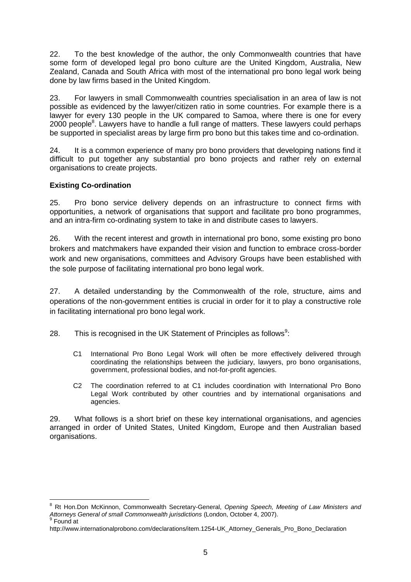22. To the best knowledge of the author, the only Commonwealth countries that have some form of developed legal pro bono culture are the United Kingdom, Australia, New Zealand, Canada and South Africa with most of the international pro bono legal work being done by law firms based in the United Kingdom.

23. For lawyers in small Commonwealth countries specialisation in an area of law is not possible as evidenced by the lawyer/citizen ratio in some countries. For example there is a lawyer for every 130 people in the UK compared to Samoa, where there is one for every 2000 people<sup>8</sup>. Lawyers have to handle a full range of matters. These lawyers could perhaps be supported in specialist areas by large firm pro bono but this takes time and co-ordination.

24. It is a common experience of many pro bono providers that developing nations find it difficult to put together any substantial pro bono projects and rather rely on external organisations to create projects.

#### **Existing Co-ordination**

<u>.</u>

25. Pro bono service delivery depends on an infrastructure to connect firms with opportunities, a network of organisations that support and facilitate pro bono programmes, and an intra-firm co-ordinating system to take in and distribute cases to lawyers.

26. With the recent interest and growth in international pro bono, some existing pro bono brokers and matchmakers have expanded their vision and function to embrace cross-border work and new organisations, committees and Advisory Groups have been established with the sole purpose of facilitating international pro bono legal work.

27. A detailed understanding by the Commonwealth of the role, structure, aims and operations of the non-government entities is crucial in order for it to play a constructive role in facilitating international pro bono legal work.

28. This is recognised in the UK Statement of Principles as follows<sup>9</sup>:

- C1 International Pro Bono Legal Work will often be more effectively delivered through coordinating the relationships between the judiciary, lawyers, pro bono organisations, government, professional bodies, and not-for-profit agencies.
- C2 The coordination referred to at C1 includes coordination with International Pro Bono Legal Work contributed by other countries and by international organisations and agencies.

29. What follows is a short brief on these key international organisations, and agencies arranged in order of United States, United Kingdom, Europe and then Australian based organisations.

<sup>8</sup> Rt Hon.Don McKinnon, Commonwealth Secretary-General, *Opening Speech, Meeting of Law Ministers and Attorneys General of small Commonwealth jurisdictions* (London, October 4, 2007). <sup>9</sup> Found at

http://www.internationalprobono.com/declarations/item.1254-UK\_Attorney\_Generals\_Pro\_Bono\_Declaration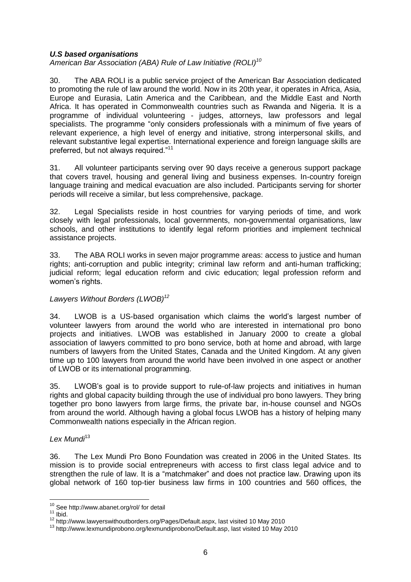#### *U.S based organisations*

*American Bar Association (ABA) Rule of Law Initiative (ROLI)<sup>10</sup>*

30. The ABA ROLI is a public service project of the American Bar Association dedicated to promoting the rule of law around the world. Now in its 20th year, it operates in Africa, Asia, Europe and Eurasia, Latin America and the Caribbean, and the Middle East and North Africa. It has operated in Commonwealth countries such as Rwanda and Nigeria. It is a programme of individual volunteering - judges, attorneys, law professors and legal specialists. The programme "only considers professionals with a minimum of five years of relevant experience, a high level of energy and initiative, strong interpersonal skills, and relevant substantive legal expertise. International experience and foreign language skills are preferred, but not always required."<sup>11</sup>

31. All volunteer participants serving over 90 days receive a generous support package that covers travel, housing and general living and business expenses. In-country foreign language training and medical evacuation are also included. Participants serving for shorter periods will receive a similar, but less comprehensive, package.

32. Legal Specialists reside in host countries for varying periods of time, and work closely with legal professionals, local governments, non-governmental organisations, law schools, and other institutions to identify legal reform priorities and implement technical assistance projects.

33. The ABA ROLI works in seven major programme areas: access to justice and human rights; anti-corruption and public integrity; criminal law reform and anti-human trafficking; judicial reform; legal education reform and civic education; legal profession reform and women's rights.

#### *Lawyers Without Borders (LWOB)<sup>12</sup>*

34. LWOB is a US-based organisation which claims the world"s largest number of volunteer lawyers from around the world who are interested in international pro bono projects and initiatives. LWOB was established in January 2000 to create a global association of lawyers committed to pro bono service, both at home and abroad, with large numbers of lawyers from the United States, Canada and the United Kingdom. At any given time up to 100 lawyers from around the world have been involved in one aspect or another of LWOB or its international programming.

35. LWOB"s goal is to provide support to rule-of-law projects and initiatives in human rights and global capacity building through the use of individual pro bono lawyers. They bring together pro bono lawyers from large firms, the private bar, in-house counsel and NGOs from around the world. Although having a global focus LWOB has a history of helping many Commonwealth nations especially in the African region.

#### *Lex Mundi*<sup>13</sup>

36. The Lex Mundi Pro Bono Foundation was created in 2006 in the United States. Its mission is to provide social entrepreneurs with access to first class legal advice and to strengthen the rule of law. It is a "matchmaker" and does not practice law. Drawing upon its global network of 160 top-tier business law firms in 100 countries and 560 offices, the

<u>.</u>

<sup>&</sup>lt;sup>10</sup> Se[e http://www.abanet.org/rol/](http://www.abanet.org/rol/) for detail

 $11$  Ibid.

<sup>12</sup> [http://www.lawyerswithoutborders.org/Pages/Default.aspx,](http://www.lawyerswithoutborders.org/Pages/Default.aspx) last visited 10 May 2010

<sup>13</sup> [http://www.lexmundiprobono.org/lexmundiprobono/Default.asp,](http://www.lexmundiprobono.org/lexmundiprobono/Default.asp) last visited 10 May 2010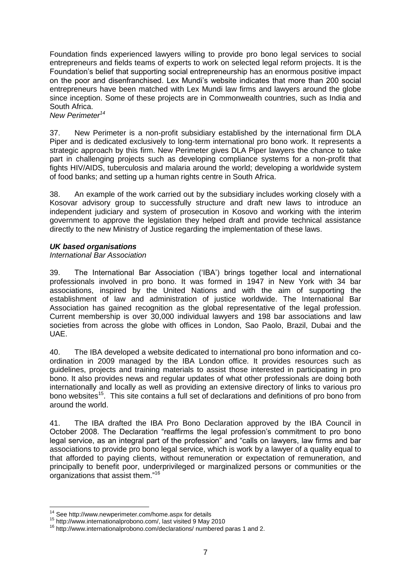Foundation finds experienced lawyers willing to provide pro bono legal services to social entrepreneurs and fields teams of experts to work on selected legal reform projects. It is the Foundation"s belief that supporting social entrepreneurship has an enormous positive impact on the poor and disenfranchised. Lex Mundi"s website indicates that more than 200 social entrepreneurs have been matched with Lex Mundi law firms and lawyers around the globe since inception. Some of these projects are in Commonwealth countries, such as India and South Africa.

*New Perimeter<sup>14</sup>*

37. New Perimeter is a non-profit subsidiary established by the international firm DLA Piper and is dedicated exclusively to long-term international pro bono work. It represents a strategic approach by this firm. New Perimeter gives DLA Piper lawyers the chance to take part in challenging projects such as developing compliance systems for a non-profit that fights HIV/AIDS, tuberculosis and malaria around the world; developing a worldwide system of food banks; and setting up a human rights centre in South Africa.

38. An example of the work carried out by the subsidiary includes working closely with a Kosovar advisory group to successfully structure and draft new laws to introduce an independent judiciary and system of prosecution in Kosovo and working with the interim government to approve the legislation they helped draft and provide technical assistance directly to the new Ministry of Justice regarding the implementation of these laws.

#### *UK based organisations*

#### *International Bar Association*

39. The International Bar Association ("IBA") brings together local and international professionals involved in pro bono. It was formed in 1947 in New York with 34 bar associations, inspired by the United Nations and with the aim of supporting the establishment of law and administration of justice worldwide. The International Bar Association has gained recognition as the global representative of the legal profession. Current membership is over 30,000 individual lawyers and 198 bar associations and law societies from across the globe with offices in London, Sao Paolo, Brazil, Dubai and the UAE.

40. The IBA developed a website dedicated to international pro bono information and coordination in 2009 managed by the IBA London office. It provides resources such as guidelines, projects and training materials to assist those interested in participating in pro bono. It also provides news and regular updates of what other professionals are doing both internationally and locally as well as providing an extensive directory of links to various pro bono websites<sup>15</sup>. This site contains a full set of declarations and definitions of pro bono from around the world.

41. The IBA drafted the IBA Pro Bono Declaration approved by the IBA Council in October 2008. The Declaration "reaffirms the legal profession's commitment to pro bono legal service, as an integral part of the profession" and "calls on lawyers, law firms and bar associations to provide pro bono legal service, which is work by a lawyer of a quality equal to that afforded to paying clients, without remuneration or expectation of remuneration, and principally to benefit poor, underprivileged or marginalized persons or communities or the organizations that assist them."<sup>16</sup>

1

<sup>14</sup> Se[e http://www.newperimeter.com/home.aspx](http://www.newperimeter.com/home.aspx) for details

<sup>15</sup> [http://www.internationalprobono.com/,](http://www.internationalprobono.com/) last visited 9 May 2010

<sup>16</sup> <http://www.internationalprobono.com/declarations/> numbered paras 1 and 2.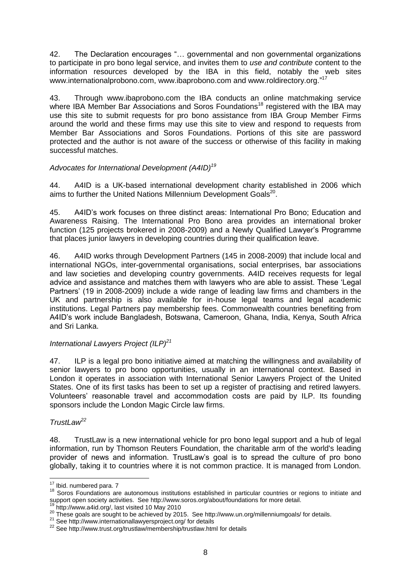42. The Declaration encourages "… governmental and non governmental organizations to participate in pro bono legal service, and invites them to *use and contribute* content to the information resources developed by the IBA in this field, notably the web sites [www.internationalprobono.com,](http://www.internationalprobono.com/) [www.ibaprobono.com](http://www.ibaprobono.com/) and [www.roldirectory.org.](http://www.roldirectory.org/)"<sup>17</sup>

43. Through [www.ibaprobono.com](http://www.ibaprobono.com/) the IBA conducts an online matchmaking service where IBA Member Bar Associations and Soros Foundations<sup>18</sup> registered with the IBA may use this site to submit requests for pro bono assistance from IBA Group Member Firms around the world and these firms may use this site to view and respond to requests from Member Bar Associations and Soros Foundations. Portions of this site are password protected and the author is not aware of the success or otherwise of this facility in making successful matches.

#### *Advocates for International Development (A4ID)<sup>19</sup>*

44. A4ID is a UK-based international development charity established in 2006 which aims to further the United Nations Millennium Development Goals<sup>20</sup>.

45. A4ID"s work focuses on three distinct areas: International Pro Bono; Education and Awareness Raising. The International Pro Bono area provides an international broker function (125 projects brokered in 2008-2009) and a Newly Qualified Lawyer"s Programme that places junior lawyers in developing countries during their qualification leave.

46. A4ID works through Development Partners (145 in 2008-2009) that include local and international NGOs, inter-governmental organisations, social enterprises, bar associations and law societies and developing country governments. A4ID receives requests for legal advice and assistance and matches them with lawyers who are able to assist. These "Legal Partners' (19 in 2008-2009) include a wide range of leading law firms and chambers in the UK and partnership is also available for in-house legal teams and legal academic institutions. Legal Partners pay membership fees. Commonwealth countries benefiting from A4ID"s work include Bangladesh, Botswana, Cameroon, Ghana, India, Kenya, South Africa and Sri Lanka.

#### *International Lawyers Project (ILP)<sup>21</sup>*

47. ILP is a legal pro bono initiative aimed at matching the willingness and availability of senior lawyers to pro bono opportunities, usually in an international context. Based in London it operates in association with International Senior Lawyers Project of the United States. One of its first tasks has been to set up a register of practising and retired lawyers. Volunteers" reasonable travel and accommodation costs are paid by ILP. Its founding sponsors include the London Magic Circle law firms.

#### *TrustLaw<sup>22</sup>*

<u>.</u>

48. TrustLaw is a new international vehicle for pro bono legal support and a hub of legal information, run by Thomson Reuters Foundation, the charitable arm of the world's leading provider of news and information. TrustLaw"s goal is to spread the culture of pro bono globally, taking it to countries where it is not common practice. It is managed from London.

<sup>&</sup>lt;sup>17</sup> Ibid. numbered para. 7

<sup>18</sup> Soros Foundations are autonomous institutions established in particular countries or regions to initiate and support open society activities. See<http://www.soros.org/about/foundations> for more detail.

[http://www.a4id.org/,](http://www.a4id.org/) last visited 10 May 2010

<sup>20</sup> These goals are sought to be achieved by 2015. See<http://www.un.org/millenniumgoals/> for details.

<sup>&</sup>lt;sup>21</sup> Se[e http://www.internationallawyersproject.org/](http://www.internationallawyersproject.org/) for details

<sup>22</sup> Se[e http://www.trust.org/trustlaw/membership/trustlaw.html](http://www.trust.org/trustlaw/membership/trustlaw.html) for details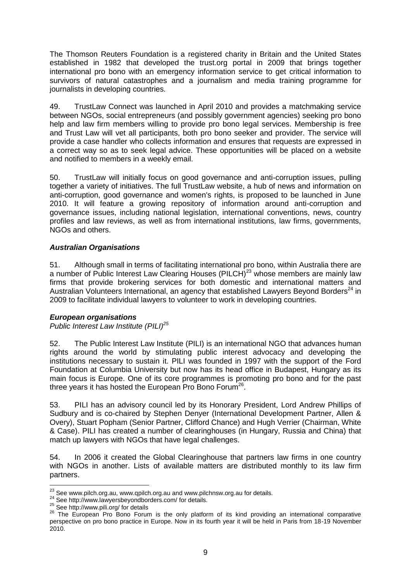The Thomson Reuters Foundation is a registered charity in Britain and the United States established in 1982 that developed the trust.org portal in 2009 that brings together international pro bono with an emergency information service to get critical information to survivors of natural catastrophes and a journalism and media training programme for journalists in developing countries.

49. TrustLaw Connect was launched in April 2010 and provides a matchmaking service between NGOs, social entrepreneurs (and possibly government agencies) seeking pro bono help and law firm members willing to provide pro bono legal services. Membership is free and Trust Law will vet all participants, both pro bono seeker and provider. The service will provide a case handler who collects information and ensures that requests are expressed in a correct way so as to seek legal advice. These opportunities will be placed on a website and notified to members in a weekly email.

50. TrustLaw will initially focus on good governance and anti-corruption issues, pulling together a variety of initiatives. The full TrustLaw website, a hub of news and information on anti-corruption, good governance and women's rights, is proposed to be launched in June 2010. It will feature a growing repository of information around anti-corruption and governance issues, including national legislation, international conventions, news, country profiles and law reviews, as well as from international institutions, law firms, governments, NGOs and others.

#### *Australian Organisations*

51. Although small in terms of facilitating international pro bono, within Australia there are a number of Public Interest Law Clearing Houses (PILCH)<sup>23</sup> whose members are mainly law firms that provide brokering services for both domestic and international matters and Australian Volunteers International, an agency that established Lawyers Beyond Borders<sup>24</sup> in 2009 to facilitate individual lawyers to volunteer to work in developing countries.

#### *European organisations*

#### *Public Interest Law Institute (PILI)<sup>25</sup>*

52. The Public Interest Law Institute (PILI) is an international NGO that advances human rights around the world by stimulating public interest advocacy and developing the institutions necessary to sustain it. PILI was founded in 1997 with the support of the Ford Foundation at Columbia University but now has its head office in Budapest, Hungary as its main focus is Europe. One of its core programmes is promoting pro bono and for the past three years it has hosted the European Pro Bono Forum<sup>26</sup>.

53. PILI has an advisory council led by its Honorary President, Lord Andrew Phillips of Sudbury and is co-chaired by Stephen Denyer (International Development Partner, Allen & Overy), Stuart Popham (Senior Partner, Clifford Chance) and Hugh Verrier (Chairman, White & Case). PILI has created a number of clearinghouses (in Hungary, Russia and China) that match up lawyers with NGOs that have legal challenges.

54. In 2006 it created the Global Clearinghouse that partners law firms in one country with NGOs in another. Lists of available matters are distributed monthly to its law firm partners.

<sup>1</sup>  $^{23}$  See www.pilch.org.au, [www.qpilch.org.au](http://www.qpilch.org.au/) and [www.pilchnsw.org.au](http://www.pilchnsw.org.au/) for details.

<sup>24</sup> Se[e http://www.lawyersbeyondborders.com/](http://www.lawyersbeyondborders.com/) for details.

<sup>25</sup> Se[e http://www.pili.org/](http://www.pili.org/) for details

<sup>26</sup> The European Pro Bono Forum is the only platform of its kind providing an international comparative perspective on pro bono practice in Europe. Now in its fourth year it will be held in Paris from 18-19 November 2010.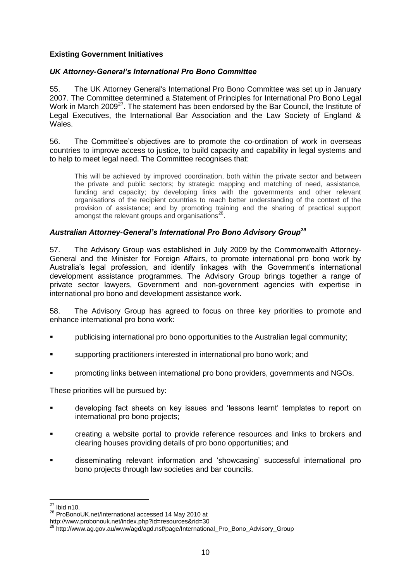#### **Existing Government Initiatives**

#### *UK Attorney-General's International Pro Bono Committee*

55. The UK Attorney General's International Pro Bono Committee was set up in January 2007. The Committee determined a Statement of Principles for International Pro Bono Legal Work in March 2009<sup>27</sup>. The statement has been endorsed by the Bar Council, the Institute of Legal Executives, the International Bar Association and the Law Society of England & Wales.

56. The Committee"s objectives are to promote the co-ordination of work in overseas countries to improve access to justice, to build capacity and capability in legal systems and to help to meet legal need. The Committee recognises that:

This will be achieved by improved coordination, both within the private sector and between the private and public sectors; by strategic mapping and matching of need, assistance, funding and capacity; by developing links with the governments and other relevant organisations of the recipient countries to reach better understanding of the context of the provision of assistance; and by promoting training and the sharing of practical support amongst the relevant groups and organisations $^{28}$ .

#### *Australian Attorney-General's International Pro Bono Advisory Group<sup>29</sup>*

57. The Advisory Group was established in July 2009 by the Commonwealth Attorney-General and the Minister for Foreign Affairs, to promote international pro bono work by Australia's legal profession, and identify linkages with the Government's international development assistance programmes. The Advisory Group brings together a range of private sector lawyers, Government and non-government agencies with expertise in international pro bono and development assistance work.

58. The Advisory Group has agreed to focus on three key priorities to promote and enhance international pro bono work:

- publicising international pro bono opportunities to the Australian legal community;
- supporting practitioners interested in international pro bono work; and
- promoting links between international pro bono providers, governments and NGOs.

These priorities will be pursued by:

- developing fact sheets on key issues and "lessons learnt" templates to report on international pro bono projects;
- creating a website portal to provide reference resources and links to brokers and clearing houses providing details of pro bono opportunities; and
- disseminating relevant information and "showcasing" successful international pro bono projects through law societies and bar councils.

<sup>&</sup>lt;u>.</u>  $27$  Ibid n10.

<sup>28</sup> ProBonoUK.net/International accessed 14 May 2010 at

<http://www.probonouk.net/index.php?id=resources&rid=30>

[http://www.ag.gov.au/www/agd/agd.nsf/page/International\\_Pro\\_Bono\\_Advisory\\_Group](http://www.ag.gov.au/www/agd/agd.nsf/page/International_Pro_Bono_Advisory_Group)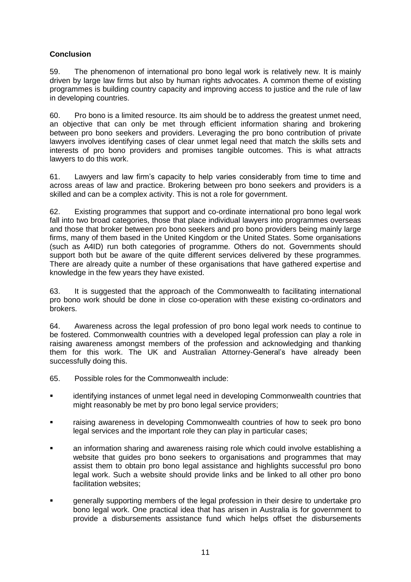#### **Conclusion**

59. The phenomenon of international pro bono legal work is relatively new. It is mainly driven by large law firms but also by human rights advocates. A common theme of existing programmes is building country capacity and improving access to justice and the rule of law in developing countries.

60. Pro bono is a limited resource. Its aim should be to address the greatest unmet need, an objective that can only be met through efficient information sharing and brokering between pro bono seekers and providers. Leveraging the pro bono contribution of private lawyers involves identifying cases of clear unmet legal need that match the skills sets and interests of pro bono providers and promises tangible outcomes. This is what attracts lawyers to do this work.

61. Lawyers and law firm"s capacity to help varies considerably from time to time and across areas of law and practice. Brokering between pro bono seekers and providers is a skilled and can be a complex activity. This is not a role for government.

62. Existing programmes that support and co-ordinate international pro bono legal work fall into two broad categories, those that place individual lawyers into programmes overseas and those that broker between pro bono seekers and pro bono providers being mainly large firms, many of them based in the United Kingdom or the United States. Some organisations (such as A4ID) run both categories of programme. Others do not. Governments should support both but be aware of the quite different services delivered by these programmes. There are already quite a number of these organisations that have gathered expertise and knowledge in the few years they have existed.

63. It is suggested that the approach of the Commonwealth to facilitating international pro bono work should be done in close co-operation with these existing co-ordinators and brokers.

64. Awareness across the legal profession of pro bono legal work needs to continue to be fostered. Commonwealth countries with a developed legal profession can play a role in raising awareness amongst members of the profession and acknowledging and thanking them for this work. The UK and Australian Attorney-General"s have already been successfully doing this.

- 65. Possible roles for the Commonwealth include:
- identifying instances of unmet legal need in developing Commonwealth countries that might reasonably be met by pro bono legal service providers;
- raising awareness in developing Commonwealth countries of how to seek pro bono legal services and the important role they can play in particular cases;
- an information sharing and awareness raising role which could involve establishing a website that guides pro bono seekers to organisations and programmes that may assist them to obtain pro bono legal assistance and highlights successful pro bono legal work. Such a website should provide links and be linked to all other pro bono facilitation websites;
- **Example 2** generally supporting members of the legal profession in their desire to undertake pro bono legal work. One practical idea that has arisen in Australia is for government to provide a disbursements assistance fund which helps offset the disbursements